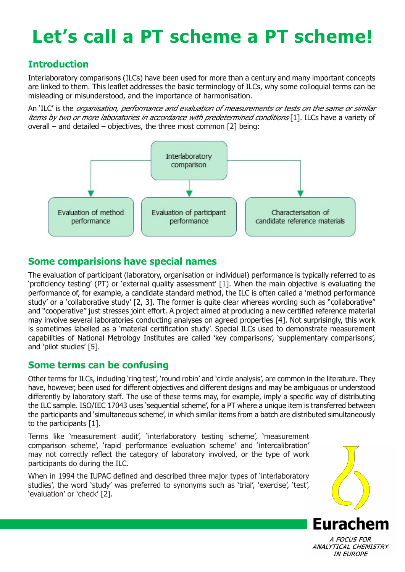# **Let's call a PT scheme a PT scheme!**

## **Introduction**

Interlaboratory comparisons (ILCs) have been used for more than a century and many important concepts are linked to them. This leaflet addresses the basic terminology of ILCs, why some colloquial terms can be misleading or misunderstood, and the importance of harmonisation.

An 'ILC' is the organisation, performance and evaluation of measurements or tests on the same or similar items by two or more laboratories in accordance with predetermined conditions [1]. ILCs have a variety of overall – and detailed – objectives, the three most common [2] being:



### **Some comparisions have special names**

The evaluation of participant (laboratory, organisation or individual) performance is typically referred to as 'proficiency testing' (PT) or 'external quality assessment' [1]. When the main objective is evaluating the performance of, for example, a candidate standard method, the ILC is often called a 'method performance study' or a 'collaborative study' [2, 3]. The former is quite clear whereas wording such as "collaborative" and "cooperative" just stresses joint effort. A project aimed at producing a new certified reference material may involve several laboratories conducting analyses on agreed properties [4]. Not surprisingly, this work is sometimes labelled as a 'material certification study'. Special ILCs used to demonstrate measurement capabilities of National Metrology Institutes are called 'key comparisons', 'supplementary comparisons', and 'pilot studies' [5].

#### **Some terms can be confusing**

Other terms for ILCs, including 'ring test', 'round robin' and 'circle analysis', are common in the literature. They have, however, been used for different objectives and different designs and may be ambiguous or understood differently by laboratory staff. The use of these terms may, for example, imply a specific way of distributing the ILC sample. ISO/IEC 17043 uses 'sequential scheme', for a PT where a unique item is transferred between the participants and 'simultaneous scheme', in which similar items from a batch are distributed simultaneously to the participants [1].

Terms like 'measurement audit', 'interlaboratory testing scheme', 'measurement comparison scheme', 'rapid performance evaluation scheme' and 'intercalibration' may not correctly reflect the category of laboratory involved, or the type of work participants do during the ILC.

When in 1994 the IUPAC defined and described three major types of 'interlaboratory studies', the word 'study' was preferred to synonyms such as 'trial', 'exercise', 'test', 'evaluation' or 'check' [2].



A FOCUS FOR ANALYTICAL CHEMISTRY **IN EUROPE**